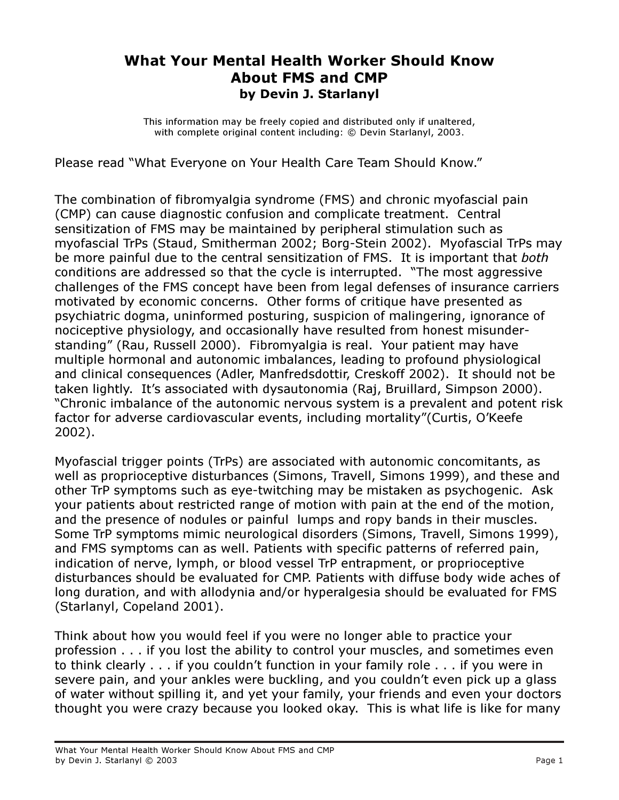## What Your Mental Health Worker Should Know About FMS and CMP by Devin J. Starlanyl

This information may be freely copied and distributed only if unaltered, with complete original content including: © Devin Starlanyl, 2003.

Please read "What Everyone on Your Health Care Team Should Know."

The combination of fibromyalgia syndrome (FMS) and chronic myofascial pain (CMP) can cause diagnostic confusion and complicate treatment. Central sensitization of FMS may be maintained by peripheral stimulation such as myofascial TrPs (Staud, Smitherman 2002; Borg-Stein 2002). Myofascial TrPs may be more painful due to the central sensitization of FMS. It is important that *both* conditions are addressed so that the cycle is interrupted. "The most aggressive challenges of the FMS concept have been from legal defenses of insurance carriers motivated by economic concerns. Other forms of critique have presented as psychiatric dogma, uninformed posturing, suspicion of malingering, ignorance of nociceptive physiology, and occasionally have resulted from honest misunderstanding" (Rau, Russell 2000). Fibromyalgia is real. Your patient may have multiple hormonal and autonomic imbalances, leading to profound physiological and clinical consequences (Adler, Manfredsdottir, Creskoff 2002). It should not be taken lightly. It's associated with dysautonomia (Raj, Bruillard, Simpson 2000). "Chronic imbalance of the autonomic nervous system is a prevalent and potent risk factor for adverse cardiovascular events, including mortality"(Curtis, O'Keefe 2002).

Myofascial trigger points (TrPs) are associated with autonomic concomitants, as well as proprioceptive disturbances (Simons, Travell, Simons 1999), and these and other TrP symptoms such as eye-twitching may be mistaken as psychogenic. Ask your patients about restricted range of motion with pain at the end of the motion, and the presence of nodules or painful lumps and ropy bands in their muscles. Some TrP symptoms mimic neurological disorders (Simons, Travell, Simons 1999), and FMS symptoms can as well. Patients with specific patterns of referred pain, indication of nerve, lymph, or blood vessel TrP entrapment, or proprioceptive disturbances should be evaluated for CMP. Patients with diffuse body wide aches of long duration, and with allodynia and/or hyperalgesia should be evaluated for FMS (Starlanyl, Copeland 2001).

Think about how you would feel if you were no longer able to practice your profession . . . if you lost the ability to control your muscles, and sometimes even to think clearly . . . if you couldn't function in your family role . . . if you were in severe pain, and your ankles were buckling, and you couldn't even pick up a glass of water without spilling it, and yet your family, your friends and even your doctors thought you were crazy because you looked okay. This is what life is like for many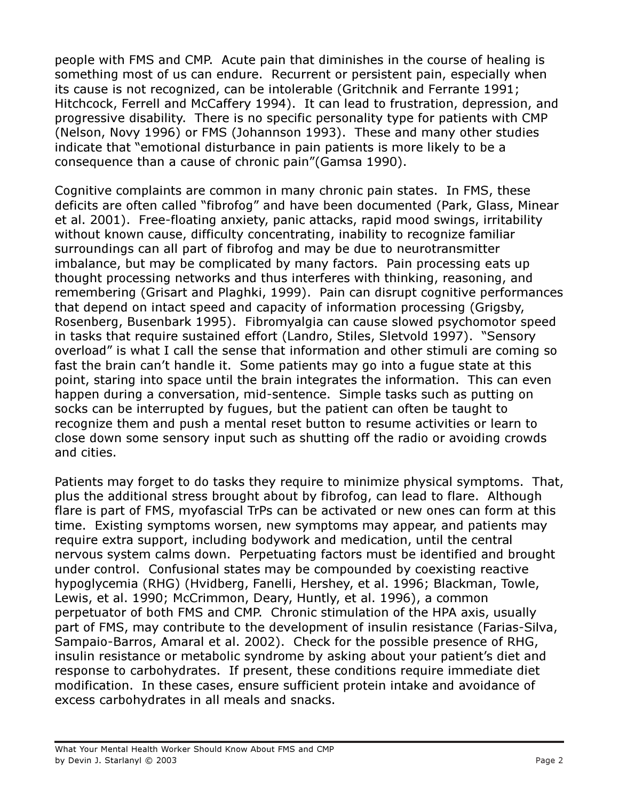people with FMS and CMP. Acute pain that diminishes in the course of healing is something most of us can endure. Recurrent or persistent pain, especially when its cause is not recognized, can be intolerable (Gritchnik and Ferrante 1991; Hitchcock, Ferrell and McCaffery 1994). It can lead to frustration, depression, and progressive disability. There is no specific personality type for patients with CMP (Nelson, Novy 1996) or FMS (Johannson 1993). These and many other studies indicate that "emotional disturbance in pain patients is more likely to be a consequence than a cause of chronic pain"(Gamsa 1990).

Cognitive complaints are common in many chronic pain states. In FMS, these deficits are often called "fibrofog" and have been documented (Park, Glass, Minear et al. 2001). Free-floating anxiety, panic attacks, rapid mood swings, irritability without known cause, difficulty concentrating, inability to recognize familiar surroundings can all part of fibrofog and may be due to neurotransmitter imbalance, but may be complicated by many factors. Pain processing eats up thought processing networks and thus interferes with thinking, reasoning, and remembering (Grisart and Plaghki, 1999). Pain can disrupt cognitive performances that depend on intact speed and capacity of information processing (Grigsby, Rosenberg, Busenbark 1995). Fibromyalgia can cause slowed psychomotor speed in tasks that require sustained effort (Landro, Stiles, Sletvold 1997). "Sensory overload" is what I call the sense that information and other stimuli are coming so fast the brain can't handle it. Some patients may go into a fugue state at this point, staring into space until the brain integrates the information. This can even happen during a conversation, mid-sentence. Simple tasks such as putting on socks can be interrupted by fugues, but the patient can often be taught to recognize them and push a mental reset button to resume activities or learn to close down some sensory input such as shutting off the radio or avoiding crowds and cities.

Patients may forget to do tasks they require to minimize physical symptoms. That, plus the additional stress brought about by fibrofog, can lead to flare. Although flare is part of FMS, myofascial TrPs can be activated or new ones can form at this time. Existing symptoms worsen, new symptoms may appear, and patients may require extra support, including bodywork and medication, until the central nervous system calms down. Perpetuating factors must be identified and brought under control. Confusional states may be compounded by coexisting reactive hypoglycemia (RHG) (Hvidberg, Fanelli, Hershey, et al. 1996; Blackman, Towle, Lewis, et al. 1990; McCrimmon, Deary, Huntly, et al. 1996), a common perpetuator of both FMS and CMP. Chronic stimulation of the HPA axis, usually part of FMS, may contribute to the development of insulin resistance (Farias-Silva, Sampaio-Barros, Amaral et al. 2002). Check for the possible presence of RHG, insulin resistance or metabolic syndrome by asking about your patient's diet and response to carbohydrates. If present, these conditions require immediate diet modification. In these cases, ensure sufficient protein intake and avoidance of excess carbohydrates in all meals and snacks.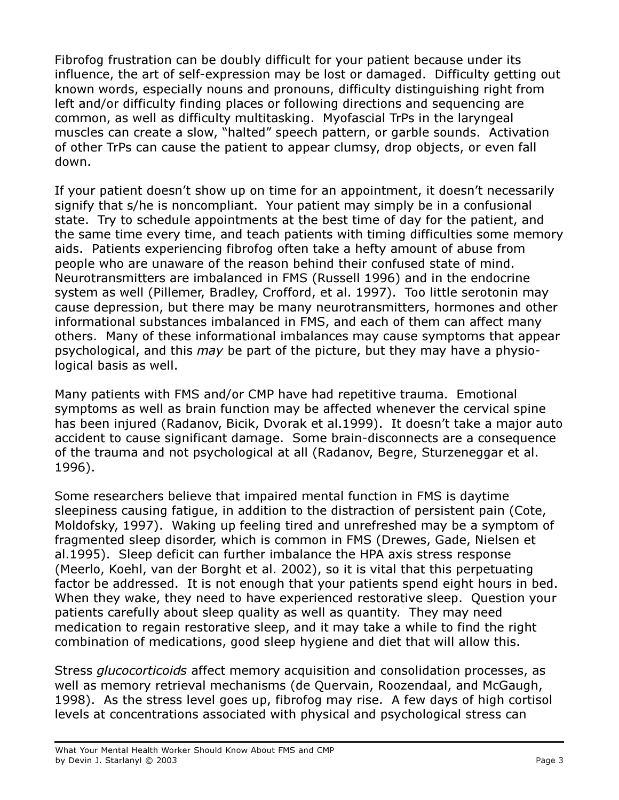Fibrofog frustration can be doubly difficult for your patient because under its influence, the art of self-expression may be lost or damaged. Difficulty getting out known words, especially nouns and pronouns, difficulty distinguishing right from left and/or difficulty finding places or following directions and sequencing are common, as well as difficulty multitasking. Myofascial TrPs in the laryngeal muscles can create a slow, "halted" speech pattern, or garble sounds. Activation of other TrPs can cause the patient to appear clumsy, drop objects, or even fall down.

If your patient doesn't show up on time for an appointment, it doesn't necessarily signify that s/he is noncompliant. Your patient may simply be in a confusional state. Try to schedule appointments at the best time of day for the patient, and the same time every time, and teach patients with timing difficulties some memory aids. Patients experiencing fibrofog often take a hefty amount of abuse from people who are unaware of the reason behind their confused state of mind. Neurotransmitters are imbalanced in FMS (Russell 1996) and in the endocrine system as well (Pillemer, Bradley, Crofford, et al. 1997). Too little serotonin may cause depression, but there may be many neurotransmitters, hormones and other informational substances imbalanced in FMS, and each of them can affect many others. Many of these informational imbalances may cause symptoms that appear psychological, and this may be part of the picture, but they may have a physiological basis as well.

Many patients with FMS and/or CMP have had repetitive trauma. Emotional symptoms as well as brain function may be affected whenever the cervical spine has been injured (Radanov, Bicik, Dvorak et al.1999). It doesn't take a major auto accident to cause significant damage. Some brain-disconnects are a consequence of the trauma and not psychological at all (Radanov, Begre, Sturzeneggar et al. 1996).

Some researchers believe that impaired mental function in FMS is daytime sleepiness causing fatigue, in addition to the distraction of persistent pain (Cote, Moldofsky, 1997). Waking up feeling tired and unrefreshed may be a symptom of fragmented sleep disorder, which is common in FMS (Drewes, Gade, Nielsen et al.1995). Sleep deficit can further imbalance the HPA axis stress response (Meerlo, Koehl, van der Borght et al. 2002), so it is vital that this perpetuating factor be addressed. It is not enough that your patients spend eight hours in bed. When they wake, they need to have experienced restorative sleep. Question your patients carefully about sleep quality as well as quantity. They may need medication to regain restorative sleep, and it may take a while to find the right combination of medications, good sleep hygiene and diet that will allow this.

Stress glucocorticoids affect memory acquisition and consolidation processes, as well as memory retrieval mechanisms (de Quervain, Roozendaal, and McGaugh, 1998). As the stress level goes up, fibrofog may rise. A few days of high cortisol levels at concentrations associated with physical and psychological stress can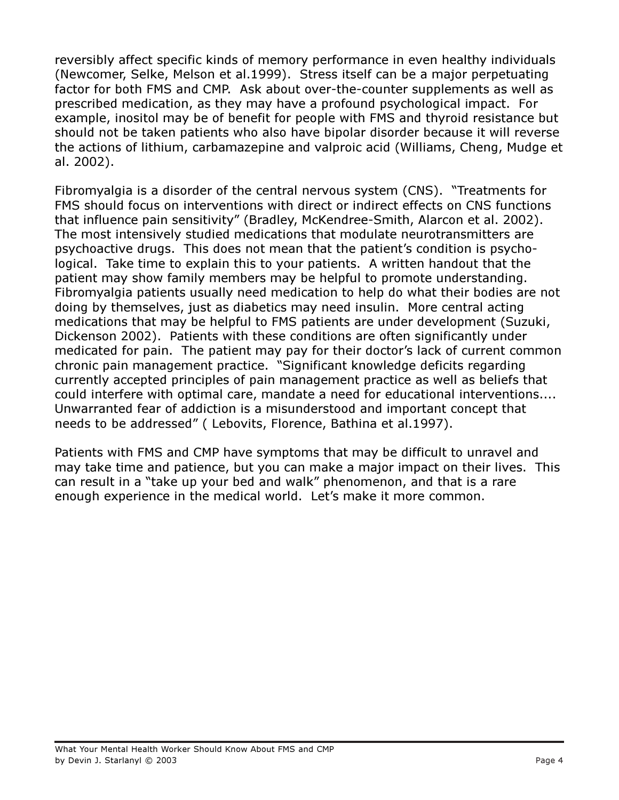reversibly affect specific kinds of memory performance in even healthy individuals (Newcomer, Selke, Melson et al.1999). Stress itself can be a major perpetuating factor for both FMS and CMP. Ask about over-the-counter supplements as well as prescribed medication, as they may have a profound psychological impact. For example, inositol may be of benefit for people with FMS and thyroid resistance but should not be taken patients who also have bipolar disorder because it will reverse the actions of lithium, carbamazepine and valproic acid (Williams, Cheng, Mudge et al. 2002).

Fibromyalgia is a disorder of the central nervous system (CNS). "Treatments for FMS should focus on interventions with direct or indirect effects on CNS functions that influence pain sensitivity" (Bradley, McKendree-Smith, Alarcon et al. 2002). The most intensively studied medications that modulate neurotransmitters are psychoactive drugs. This does not mean that the patient's condition is psychological. Take time to explain this to your patients. A written handout that the patient may show family members may be helpful to promote understanding. Fibromyalgia patients usually need medication to help do what their bodies are not doing by themselves, just as diabetics may need insulin. More central acting medications that may be helpful to FMS patients are under development (Suzuki, Dickenson 2002). Patients with these conditions are often significantly under medicated for pain. The patient may pay for their doctor's lack of current common chronic pain management practice. "Significant knowledge deficits regarding currently accepted principles of pain management practice as well as beliefs that could interfere with optimal care, mandate a need for educational interventions.... Unwarranted fear of addiction is a misunderstood and important concept that needs to be addressed" ( Lebovits, Florence, Bathina et al.1997).

Patients with FMS and CMP have symptoms that may be difficult to unravel and may take time and patience, but you can make a major impact on their lives. This can result in a "take up your bed and walk" phenomenon, and that is a rare enough experience in the medical world. Let's make it more common.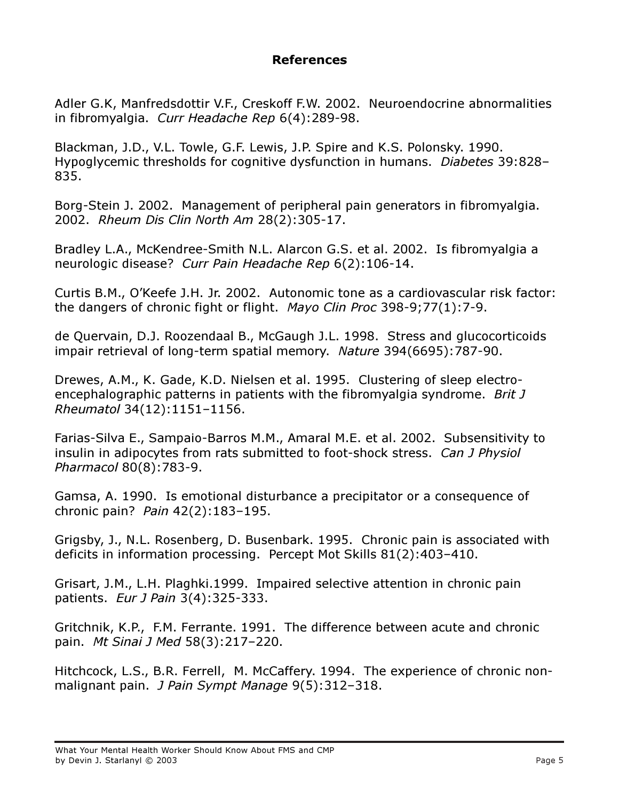## References

Adler G.K, Manfredsdottir V.F., Creskoff F.W. 2002. Neuroendocrine abnormalities in fibromyalgia. Curr Headache Rep 6(4):289-98.

Blackman, J.D., V.L. Towle, G.F. Lewis, J.P. Spire and K.S. Polonsky. 1990. Hypoglycemic thresholds for cognitive dysfunction in humans. Diabetes 39:828– 835.

Borg-Stein J. 2002. Management of peripheral pain generators in fibromyalgia. 2002. Rheum Dis Clin North Am 28(2):305-17.

Bradley L.A., McKendree-Smith N.L. Alarcon G.S. et al. 2002. Is fibromyalgia a neurologic disease? Curr Pain Headache Rep 6(2):106-14.

Curtis B.M., O'Keefe J.H. Jr. 2002. Autonomic tone as a cardiovascular risk factor: the dangers of chronic fight or flight. Mayo Clin Proc 398-9;77(1):7-9.

de Quervain, D.J. Roozendaal B., McGaugh J.L. 1998. Stress and glucocorticoids impair retrieval of long-term spatial memory. Nature 394(6695):787-90.

Drewes, A.M., K. Gade, K.D. Nielsen et al. 1995. Clustering of sleep electroencephalographic patterns in patients with the fibromyalgia syndrome. Brit J Rheumatol 34(12):1151–1156.

Farias-Silva E., Sampaio-Barros M.M., Amaral M.E. et al. 2002. Subsensitivity to insulin in adipocytes from rats submitted to foot-shock stress. Can J Physiol Pharmacol 80(8):783-9.

Gamsa, A. 1990. Is emotional disturbance a precipitator or a consequence of chronic pain? Pain 42(2):183–195.

Grigsby, J., N.L. Rosenberg, D. Busenbark. 1995. Chronic pain is associated with deficits in information processing. Percept Mot Skills 81(2):403–410.

Grisart, J.M., L.H. Plaghki.1999. Impaired selective attention in chronic pain patients. Eur J Pain 3(4):325-333.

Gritchnik, K.P., F.M. Ferrante. 1991. The difference between acute and chronic pain. Mt Sinai J Med 58(3):217–220.

Hitchcock, L.S., B.R. Ferrell, M. McCaffery. 1994. The experience of chronic nonmalignant pain. J Pain Sympt Manage 9(5):312-318.

What Your Mental Health Worker Should Know About FMS and CMP by Devin J. Starlanyl © 2003 Page 5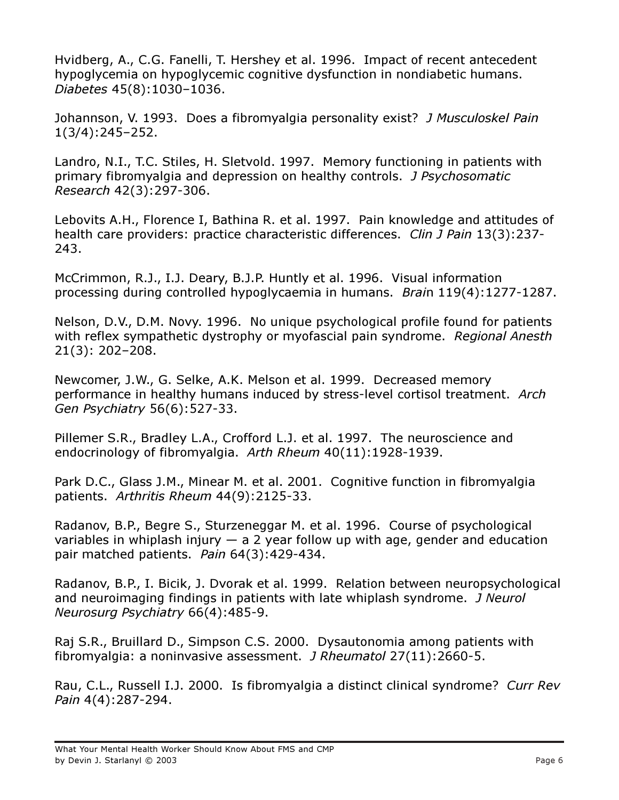Hvidberg, A., C.G. Fanelli, T. Hershey et al. 1996. Impact of recent antecedent hypoglycemia on hypoglycemic cognitive dysfunction in nondiabetic humans. Diabetes 45(8):1030–1036.

Johannson, V. 1993. Does a fibromyalgia personality exist? J Musculoskel Pain 1(3/4):245–252.

Landro, N.I., T.C. Stiles, H. Sletvold. 1997. Memory functioning in patients with primary fibromyalgia and depression on healthy controls. J Psychosomatic Research 42(3):297-306.

Lebovits A.H., Florence I, Bathina R. et al. 1997. Pain knowledge and attitudes of health care providers: practice characteristic differences. Clin J Pain 13(3):237-243.

McCrimmon, R.J., I.J. Deary, B.J.P. Huntly et al. 1996. Visual information processing during controlled hypoglycaemia in humans. Brain 119(4):1277-1287.

Nelson, D.V., D.M. Novy. 1996. No unique psychological profile found for patients with reflex sympathetic dystrophy or myofascial pain syndrome. Regional Anesth 21(3): 202–208.

Newcomer, J.W., G. Selke, A.K. Melson et al. 1999. Decreased memory performance in healthy humans induced by stress-level cortisol treatment. Arch Gen Psychiatry 56(6):527-33.

Pillemer S.R., Bradley L.A., Crofford L.J. et al. 1997. The neuroscience and endocrinology of fibromyalgia. Arth Rheum 40(11):1928-1939.

Park D.C., Glass J.M., Minear M. et al. 2001. Cognitive function in fibromyalgia patients. Arthritis Rheum 44(9):2125-33.

Radanov, B.P., Begre S., Sturzeneggar M. et al. 1996. Course of psychological variables in whiplash injury  $-$  a 2 year follow up with age, gender and education pair matched patients. Pain 64(3):429-434.

Radanov, B.P., I. Bicik, J. Dvorak et al. 1999. Relation between neuropsychological and neuroimaging findings in patients with late whiplash syndrome. J Neurol Neurosurg Psychiatry 66(4):485-9.

Raj S.R., Bruillard D., Simpson C.S. 2000. Dysautonomia among patients with fibromyalgia: a noninvasive assessment. J Rheumatol 27(11):2660-5.

Rau, C.L., Russell I.J. 2000. Is fibromyalgia a distinct clinical syndrome? Curr Rev Pain 4(4):287-294.